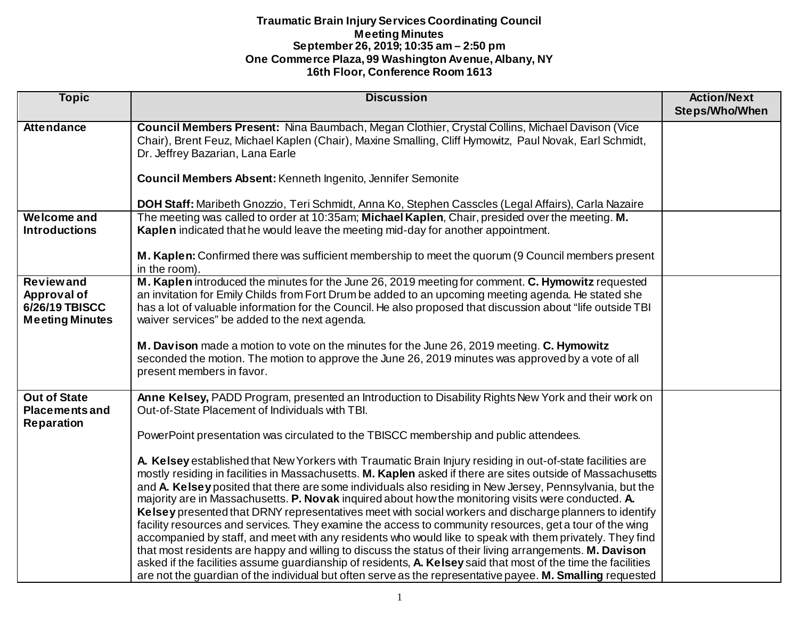| <b>Topic</b>                                 | <b>Discussion</b>                                                                                                                                                                                                                            | <b>Action/Next</b><br><b>Steps/Who/When</b> |
|----------------------------------------------|----------------------------------------------------------------------------------------------------------------------------------------------------------------------------------------------------------------------------------------------|---------------------------------------------|
|                                              |                                                                                                                                                                                                                                              |                                             |
| <b>Attendance</b>                            | Council Members Present: Nina Baumbach, Megan Clothier, Crystal Collins, Michael Davison (Vice<br>Chair), Brent Feuz, Michael Kaplen (Chair), Maxine Smalling, Cliff Hymowitz, Paul Novak, Earl Schmidt,<br>Dr. Jeffrey Bazarian, Lana Earle |                                             |
|                                              | Council Members Absent: Kenneth Ingenito, Jennifer Semonite                                                                                                                                                                                  |                                             |
|                                              | DOH Staff: Maribeth Gnozzio, Teri Schmidt, Anna Ko, Stephen Casscles (Legal Affairs), Carla Nazaire                                                                                                                                          |                                             |
| <b>Welcome and</b>                           | The meeting was called to order at 10:35am; Michael Kaplen, Chair, presided over the meeting. M.                                                                                                                                             |                                             |
| <b>Introductions</b>                         | Kaplen indicated that he would leave the meeting mid-day for another appointment.                                                                                                                                                            |                                             |
|                                              | M. Kaplen: Confirmed there was sufficient membership to meet the quorum (9 Council members present<br>in the room).                                                                                                                          |                                             |
| <b>Reviewand</b>                             | M. Kaplen introduced the minutes for the June 26, 2019 meeting for comment. C. Hymowitz requested                                                                                                                                            |                                             |
| Approval of                                  | an invitation for Emily Childs from Fort Drum be added to an upcoming meeting agenda. He stated she                                                                                                                                          |                                             |
| 6/26/19 TBISCC<br><b>Meeting Minutes</b>     | has a lot of valuable information for the Council. He also proposed that discussion about "life outside TBI<br>waiver services" be added to the next agenda.                                                                                 |                                             |
|                                              |                                                                                                                                                                                                                                              |                                             |
|                                              | M. Davison made a motion to vote on the minutes for the June 26, 2019 meeting. C. Hymowitz<br>seconded the motion. The motion to approve the June 26, 2019 minutes was approved by a vote of all<br>present members in favor.                |                                             |
| <b>Out of State</b><br><b>Placements and</b> | Anne Kelsey, PADD Program, presented an Introduction to Disability Rights New York and their work on<br>Out-of-State Placement of Individuals with TBI.                                                                                      |                                             |
| <b>Reparation</b>                            | PowerPoint presentation was circulated to the TBISCC membership and public attendees.                                                                                                                                                        |                                             |
|                                              |                                                                                                                                                                                                                                              |                                             |
|                                              | A. Kelsey established that New Yorkers with Traumatic Brain Injury residing in out-of-state facilities are                                                                                                                                   |                                             |
|                                              | mostly residing in facilities in Massachusetts. M. Kaplen asked if there are sites outside of Massachusetts                                                                                                                                  |                                             |
|                                              | and A. Kelsey posited that there are some individuals also residing in New Jersey, Pennsylvania, but the                                                                                                                                     |                                             |
|                                              | majority are in Massachusetts. P. Novak inquired about how the monitoring visits were conducted. A.                                                                                                                                          |                                             |
|                                              | Kelsey presented that DRNY representatives meet with social workers and discharge planners to identify                                                                                                                                       |                                             |
|                                              | facility resources and services. They examine the access to community resources, get a tour of the wing                                                                                                                                      |                                             |
|                                              | accompanied by staff, and meet with any residents who would like to speak with them privately. They find                                                                                                                                     |                                             |
|                                              | that most residents are happy and willing to discuss the status of their living arrangements. M. Davison                                                                                                                                     |                                             |
|                                              | asked if the facilities assume guardianship of residents, A. Kelsey said that most of the time the facilities                                                                                                                                |                                             |
|                                              | are not the guardian of the individual but often serve as the representative payee. M. Smalling requested                                                                                                                                    |                                             |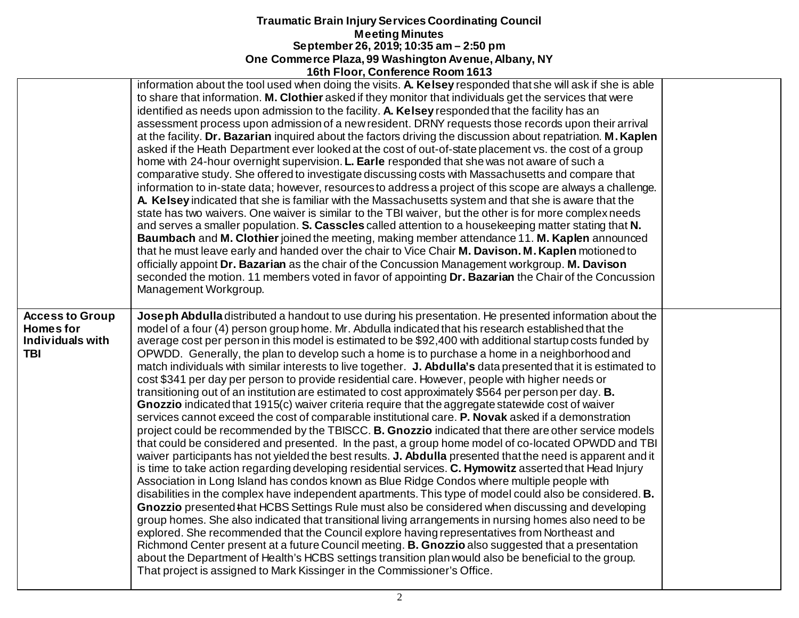|                                                                             | <u>1981 1991, 991110101100 1100111 1919</u>                                                                                                                                                                                                                                                                                                                                                                                                                                                                                                                                                                                                                                                                                                                                                                                                                                                                                                                                                                                                                                                                                                                                                                                                                                                                                                                                                                                                                                                                                                                                                                                                                                                                                                                                                                                                                                                                                                                                                                                                                                                                                                                                                                                                |  |
|-----------------------------------------------------------------------------|--------------------------------------------------------------------------------------------------------------------------------------------------------------------------------------------------------------------------------------------------------------------------------------------------------------------------------------------------------------------------------------------------------------------------------------------------------------------------------------------------------------------------------------------------------------------------------------------------------------------------------------------------------------------------------------------------------------------------------------------------------------------------------------------------------------------------------------------------------------------------------------------------------------------------------------------------------------------------------------------------------------------------------------------------------------------------------------------------------------------------------------------------------------------------------------------------------------------------------------------------------------------------------------------------------------------------------------------------------------------------------------------------------------------------------------------------------------------------------------------------------------------------------------------------------------------------------------------------------------------------------------------------------------------------------------------------------------------------------------------------------------------------------------------------------------------------------------------------------------------------------------------------------------------------------------------------------------------------------------------------------------------------------------------------------------------------------------------------------------------------------------------------------------------------------------------------------------------------------------------|--|
|                                                                             | information about the tool used when doing the visits. A. Kelsey responded that she will ask if she is able<br>to share that information. M. Clothier asked if they monitor that individuals get the services that were<br>identified as needs upon admission to the facility. A. Kelsey responded that the facility has an<br>assessment process upon admission of a new resident. DRNY requests those records upon their arrival<br>at the facility. Dr. Bazarian inquired about the factors driving the discussion about repatriation. M. Kaplen<br>asked if the Heath Department ever looked at the cost of out-of-state placement vs. the cost of a group<br>home with 24-hour overnight supervision. L. Earle responded that she was not aware of such a<br>comparative study. She offered to investigate discussing costs with Massachusetts and compare that<br>information to in-state data; however, resources to address a project of this scope are always a challenge.<br>A. Kelsey indicated that she is familiar with the Massachusetts system and that she is aware that the<br>state has two waivers. One waiver is similar to the TBI waiver, but the other is for more complex needs<br>and serves a smaller population. S. Casscles called attention to a housekeeping matter stating that N.<br>Baumbach and M. Clothier joined the meeting, making member attendance 11. M. Kaplen announced<br>that he must leave early and handed over the chair to Vice Chair M. Davison. M. Kaplen motioned to<br>officially appoint Dr. Bazarian as the chair of the Concussion Management workgroup. M. Davison<br>seconded the motion. 11 members voted in favor of appointing Dr. Bazarian the Chair of the Concussion<br>Management Workgroup.                                                                                                                                                                                                                                                                                                                                                                                                                                                                              |  |
| <b>Access to Group</b><br><b>Homesfor</b><br>Individuals with<br><b>TBI</b> | Joseph Abdulla distributed a handout to use during his presentation. He presented information about the<br>model of a four (4) person group home. Mr. Abdulla indicated that his research established that the<br>average cost per person in this model is estimated to be \$92,400 with additional startup costs funded by<br>OPWDD. Generally, the plan to develop such a home is to purchase a home in a neighborhood and<br>match individuals with similar interests to live together. J. Abdulla's data presented that it is estimated to<br>cost \$341 per day per person to provide residential care. However, people with higher needs or<br>transitioning out of an institution are estimated to cost approximately \$564 per person per day. B.<br>Gnozzio indicated that 1915(c) waiver criteria require that the aggregate statewide cost of waiver<br>services cannot exceed the cost of comparable institutional care. P. Novak asked if a demonstration<br>project could be recommended by the TBISCC. B. Gnozzio indicated that there are other service models<br>that could be considered and presented. In the past, a group home model of co-located OPWDD and TBI<br>waiver participants has not yielded the best results. J. Abdulla presented that the need is apparent and it<br>is time to take action regarding developing residential services. C. Hymowitz asserted that Head Injury<br>Association in Long Island has condos known as Blue Ridge Condos where multiple people with<br>disabilities in the complex have independent apartments. This type of model could also be considered. <b>B.</b><br>Gnozzio presented that HCBS Settings Rule must also be considered when discussing and developing<br>group homes. She also indicated that transitional living arrangements in nursing homes also need to be<br>explored. She recommended that the Council explore having representatives from Northeast and<br>Richmond Center present at a future Council meeting. B. Gnozzio also suggested that a presentation<br>about the Department of Health's HCBS settings transition plan would also be beneficial to the group.<br>That project is assigned to Mark Kissinger in the Commissioner's Office. |  |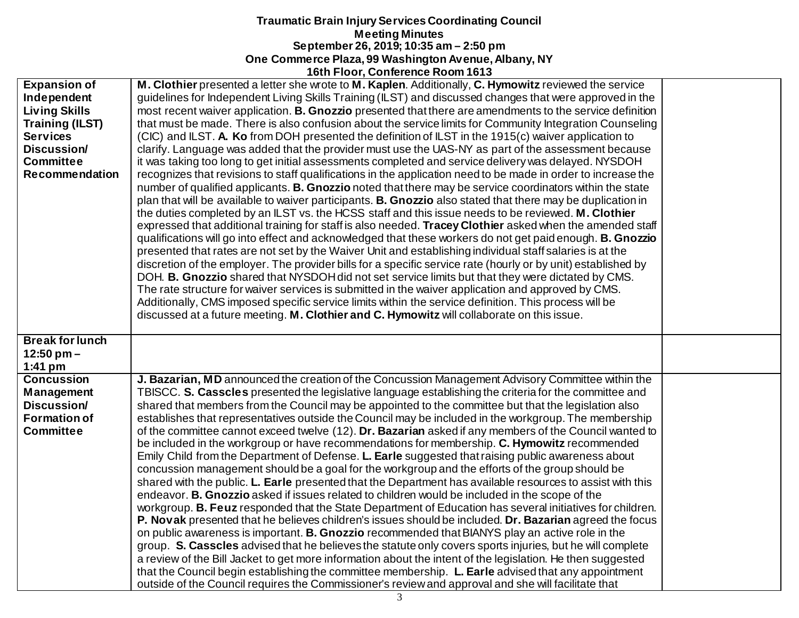|                        | <b>TOUL FIGOL, COMPRENCE KOOM TOTS</b>                                                                             |  |
|------------------------|--------------------------------------------------------------------------------------------------------------------|--|
| <b>Expansion of</b>    | M. Clothier presented a letter she wrote to M. Kaplen. Additionally, C. Hymowitz reviewed the service              |  |
| Independent            | guidelines for Independent Living Skills Training (ILST) and discussed changes that were approved in the           |  |
| <b>Living Skills</b>   | most recent waiver application. B. Gnozzio presented that there are amendments to the service definition           |  |
| <b>Training (ILST)</b> | that must be made. There is also confusion about the service limits for Community Integration Counseling           |  |
| <b>Services</b>        | (CIC) and ILST. A. Ko from DOH presented the definition of ILST in the 1915(c) waiver application to               |  |
| Discussion/            | clarify. Language was added that the provider must use the UAS-NY as part of the assessment because                |  |
| <b>Committee</b>       | it was taking too long to get initial assessments completed and service delivery was delayed. NYSDOH               |  |
| <b>Recommendation</b>  | recognizes that revisions to staff qualifications in the application need to be made in order to increase the      |  |
|                        | number of qualified applicants. B. Gnozzio noted that there may be service coordinators within the state           |  |
|                        | plan that will be available to waiver participants. <b>B. Gnozzio</b> also stated that there may be duplication in |  |
|                        | the duties completed by an ILST vs. the HCSS staff and this issue needs to be reviewed. M. Clothier                |  |
|                        | expressed that additional training for staff is also needed. Tracey Clothier asked when the amended staff          |  |
|                        | qualifications will go into effect and acknowledged that these workers do not get paid enough. B. Gnozzio          |  |
|                        | presented that rates are not set by the Waiver Unit and establishing individual staff salaries is at the           |  |
|                        | discretion of the employer. The provider bills for a specific service rate (hourly or by unit) established by      |  |
|                        | DOH. B. Gnozzio shared that NYSDOH did not set service limits but that they were dictated by CMS.                  |  |
|                        | The rate structure for waiver services is submitted in the waiver application and approved by CMS.                 |  |
|                        | Additionally, CMS imposed specific service limits within the service definition. This process will be              |  |
|                        | discussed at a future meeting. M. Clothier and C. Hymowitz will collaborate on this issue.                         |  |
|                        |                                                                                                                    |  |
| <b>Break for lunch</b> |                                                                                                                    |  |
| $12:50$ pm $-$         |                                                                                                                    |  |
| $1:41$ pm              |                                                                                                                    |  |
| <b>Concussion</b>      | J. Bazarian, MD announced the creation of the Concussion Management Advisory Committee within the                  |  |
| Management             | TBISCC. S. Casscles presented the legislative language establishing the criteria for the committee and             |  |
| Discussion/            | shared that members from the Council may be appointed to the committee but that the legislation also               |  |
| <b>Formation of</b>    | establishes that representatives outside the Council may be included in the workgroup. The membership              |  |
| <b>Committee</b>       | of the committee cannot exceed twelve (12). Dr. Bazarian asked if any members of the Council wanted to             |  |
|                        | be included in the workgroup or have recommendations for membership. C. Hymowitz recommended                       |  |
|                        | Emily Child from the Department of Defense. L. Earle suggested that raising public awareness about                 |  |
|                        | concussion management should be a goal for the workgroup and the efforts of the group should be                    |  |
|                        | shared with the public. L. Earle presented that the Department has available resources to assist with this         |  |
|                        | endeavor. B. Gnozzio asked if issues related to children would be included in the scope of the                     |  |
|                        | workgroup. B. Feuz responded that the State Department of Education has several initiatives for children.          |  |
|                        | P. Novak presented that he believes children's issues should be included. Dr. Bazarian agreed the focus            |  |
|                        | on public awareness is important. B. Gnozzio recommended that BIANYS play an active role in the                    |  |
|                        | group. S. Casscles advised that he believes the statute only covers sports injuries, but he will complete          |  |
|                        | a review of the Bill Jacket to get more information about the intent of the legislation. He then suggested         |  |
|                        | that the Council begin establishing the committee membership. L. Earle advised that any appointment                |  |
|                        | outside of the Council requires the Commissioner's review and approval and she will facilitate that                |  |